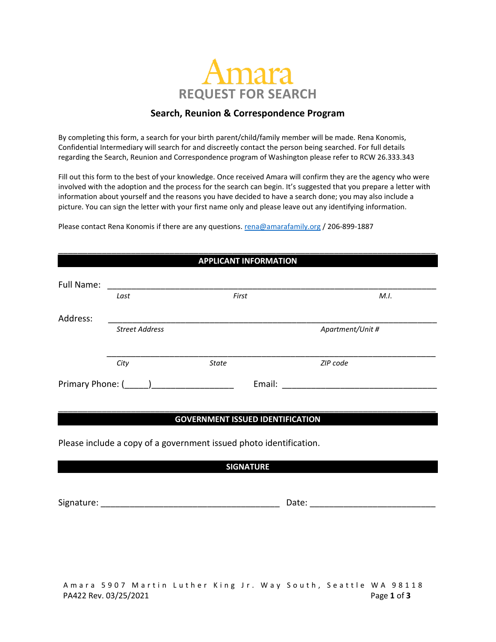

## **Search, Reunion & Correspondence Program**

By completing this form, a search for your birth parent/child/family member will be made. Rena Konomis, Confidential Intermediary will search for and discreetly contact the person being searched. For full details regarding the Search, Reunion and Correspondence program of Washington please refer to RCW 26.333.343

Fill out this form to the best of your knowledge. Once received Amara will confirm they are the agency who were involved with the adoption and the process for the search can begin. It's suggested that you prepare a letter with information about yourself and the reasons you have decided to have a search done; you may also include a picture. You can sign the letter with your first name only and please leave out any identifying information.

\_\_\_\_\_\_\_\_\_\_\_\_\_\_\_\_\_\_\_\_\_\_\_\_\_\_\_\_\_\_\_\_\_\_\_\_\_\_\_\_\_\_\_\_\_\_\_\_\_\_\_\_\_\_\_\_\_\_\_\_\_\_\_\_\_\_\_\_\_\_\_\_\_\_\_\_\_\_

Please contact Rena Konomis if there are any questions. [rena@amarafamily.org](mailto:rena@amarafamily.org) / 206-899-1887

| <b>APPLICANT INFORMATION</b> |                       |                  |          |  |  |  |
|------------------------------|-----------------------|------------------|----------|--|--|--|
| Full Name:                   |                       |                  |          |  |  |  |
|                              | Last                  | First            | M.I.     |  |  |  |
| Address:                     |                       |                  |          |  |  |  |
|                              | <b>Street Address</b> | Apartment/Unit # |          |  |  |  |
|                              |                       |                  |          |  |  |  |
|                              | City                  | <b>State</b>     | ZIP code |  |  |  |
| Primary Phone: (             |                       |                  | Email:   |  |  |  |

## \_\_\_\_\_\_\_\_\_\_\_\_\_\_\_\_\_\_\_\_\_\_\_\_\_\_\_\_\_\_\_\_\_\_\_\_\_\_\_\_\_\_\_\_\_\_\_\_\_\_\_\_\_\_\_\_\_\_\_\_\_\_\_\_\_\_\_\_\_\_\_\_\_\_\_\_\_\_ **GOVERNMENT ISSUED IDENTIFICATION**

Please include a copy of a government issued photo identification.

|  | <b>SIGNATURE</b> |  |  |
|--|------------------|--|--|
|  |                  |  |  |

Signature: \_\_\_\_\_\_\_\_\_\_\_\_\_\_\_\_\_\_\_\_\_\_\_\_\_\_\_\_\_\_\_\_\_\_\_\_\_ Date: \_\_\_\_\_\_\_\_\_\_\_\_\_\_\_\_\_\_\_\_\_\_\_\_\_\_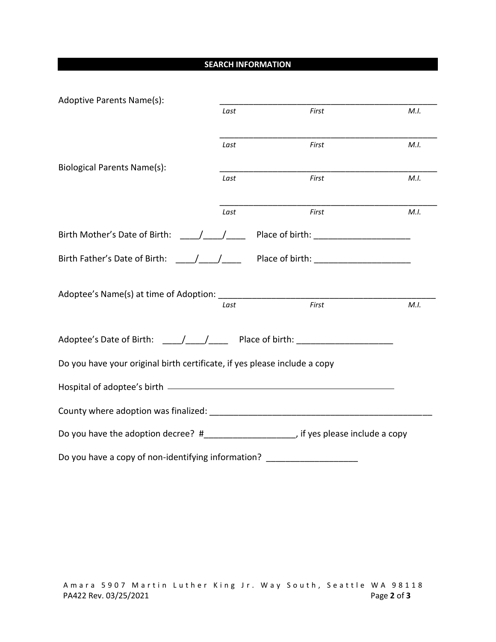## **SEARCH INFORMATION**

| Adoptive Parents Name(s):                                                                |            |                                                                                                                                                                                                                                |      |
|------------------------------------------------------------------------------------------|------------|--------------------------------------------------------------------------------------------------------------------------------------------------------------------------------------------------------------------------------|------|
|                                                                                          | Last       | First                                                                                                                                                                                                                          | M.I. |
|                                                                                          | Last       | First                                                                                                                                                                                                                          | M.I. |
| <b>Biological Parents Name(s):</b>                                                       |            |                                                                                                                                                                                                                                |      |
|                                                                                          | Last       | First                                                                                                                                                                                                                          | M.I. |
|                                                                                          | Last       | First                                                                                                                                                                                                                          | M.I. |
| Birth Mother's Date of Birth:                                                            | $\sqrt{2}$ |                                                                                                                                                                                                                                |      |
| Birth Father's Date of Birth: / /                                                        |            | Place of birth: The contract of the contract of the contract of the contract of the contract of the contract of the contract of the contract of the contract of the contract of the contract of the contract of the contract o |      |
|                                                                                          |            |                                                                                                                                                                                                                                |      |
|                                                                                          | Last       | First                                                                                                                                                                                                                          | M.I. |
| Adoptee's Date of Birth: $\frac{1}{2}$ / Place of birth:                                 |            |                                                                                                                                                                                                                                |      |
| Do you have your original birth certificate, if yes please include a copy                |            |                                                                                                                                                                                                                                |      |
|                                                                                          |            |                                                                                                                                                                                                                                |      |
|                                                                                          |            |                                                                                                                                                                                                                                |      |
| Do you have the adoption decree? #________________________, if yes please include a copy |            |                                                                                                                                                                                                                                |      |
| Do you have a copy of non-identifying information?                                       |            |                                                                                                                                                                                                                                |      |